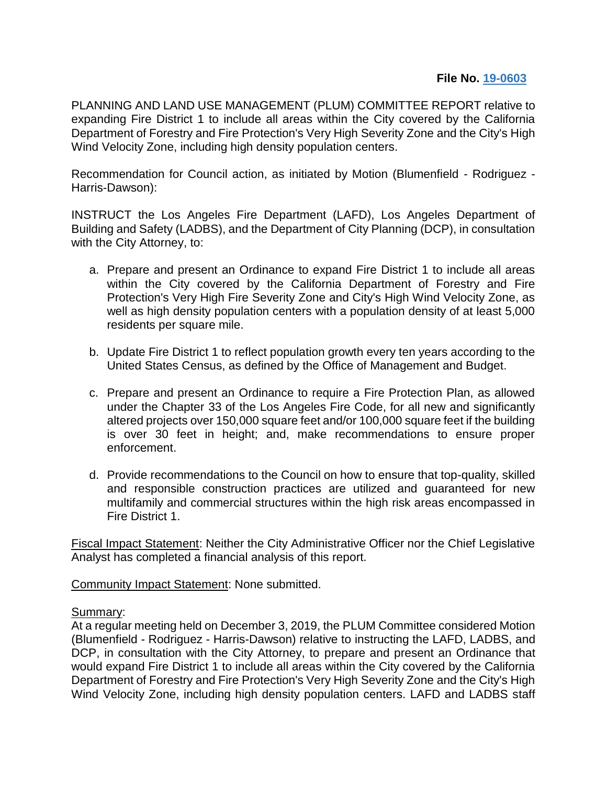## **File No. 19-0603**

PLANNING AND LAND USE MANAGEMENT (PLUM) COMMITTEE REPORT relative to expanding Fire District 1 to include all areas within the City covered by the California Department of Forestry and Fire Protection's Very High Severity Zone and the City's High Wind Velocity Zone, including high density population centers.

Recommendation for Council action, as initiated by Motion (Blumenfield - Rodriguez - Harris-Dawson):

INSTRUCT the Los Angeles Fire Department (LAFD), Los Angeles Department of Building and Safety (LADBS), and the Department of City Planning (DCP), in consultation with the City Attorney, to:

- a. Prepare and present an Ordinance to expand Fire District 1 to include all areas within the City covered by the California Department of Forestry and Fire Protection's Very High Fire Severity Zone and City's High Wind Velocity Zone, as well as high density population centers with a population density of at least 5,000 residents per square mile.
- b. Update Fire District 1 to reflect population growth every ten years according to the United States Census, as defined by the Office of Management and Budget.
- c. Prepare and present an Ordinance to require a Fire Protection Plan, as allowed under the Chapter 33 of the Los Angeles Fire Code, for all new and significantly altered projects over 150,000 square feet and/or 100,000 square feet if the building is over 30 feet in height; and, make recommendations to ensure proper enforcement.
- d. Provide recommendations to the Council on how to ensure that top-quality, skilled and responsible construction practices are utilized and guaranteed for new multifamily and commercial structures within the high risk areas encompassed in Fire District 1.

Fiscal Impact Statement: Neither the City Administrative Officer nor the Chief Legislative Analyst has completed a financial analysis of this report.

Community Impact Statement: None submitted.

## Summary:

At a regular meeting held on December 3, 2019, the PLUM Committee considered Motion (Blumenfield - Rodriguez - Harris-Dawson) relative to instructing the LAFD, LADBS, and DCP, in consultation with the City Attorney, to prepare and present an Ordinance that would expand Fire District 1 to include all areas within the City covered by the California Department of Forestry and Fire Protection's Very High Severity Zone and the City's High Wind Velocity Zone, including high density population centers. LAFD and LADBS staff